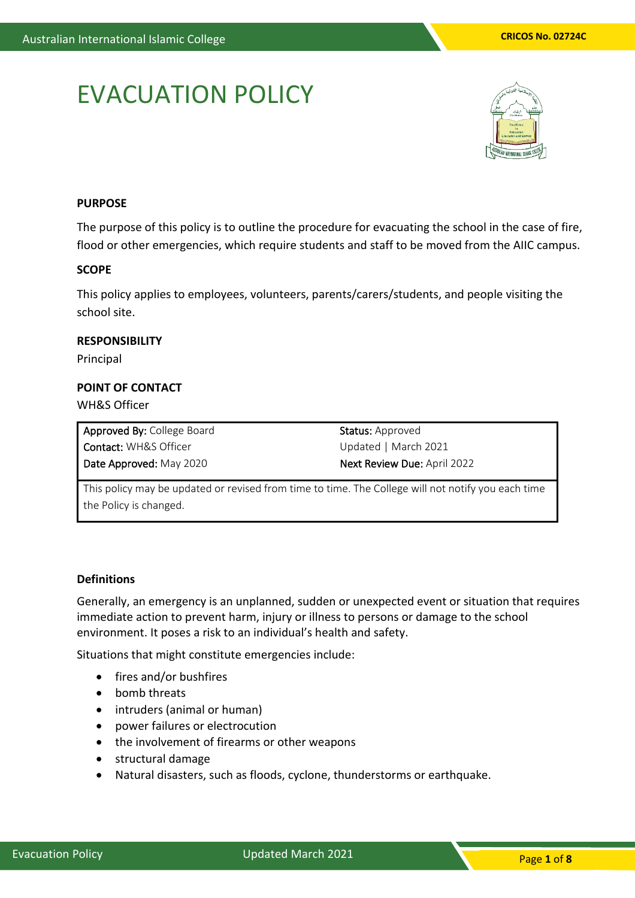# EVACUATION POLICY



#### **PURPOSE**

The purpose of this policy is to outline the procedure for evacuating the school in the case of fire, flood or other emergencies, which require students and staff to be moved from the AIIC campus.

#### **SCOPE**

This policy applies to employees, volunteers, parents/carers/students, and people visiting the school site.

# **RESPONSIBILITY**

Principal

#### **POINT OF CONTACT**

WH&S Officer

Approved By: College Board Contact: WH&S Officer Date Approved: May 2020

Status: Approved Updated | March 2021 Next Review Due: April 2022

This policy may be updated or revised from time to time. The College will not notify you each time the Policy is changed.

## **Definitions**

Generally, an emergency is an unplanned, sudden or unexpected event or situation that requires immediate action to prevent harm, injury or illness to persons or damage to the school environment. It poses a risk to an individual's health and safety.

Situations that might constitute emergencies include:

- fires and/or bushfires
- bomb threats
- intruders (animal or human)
- power failures or electrocution
- the involvement of firearms or other weapons
- structural damage
- Natural disasters, such as floods, cyclone, thunderstorms or earthquake.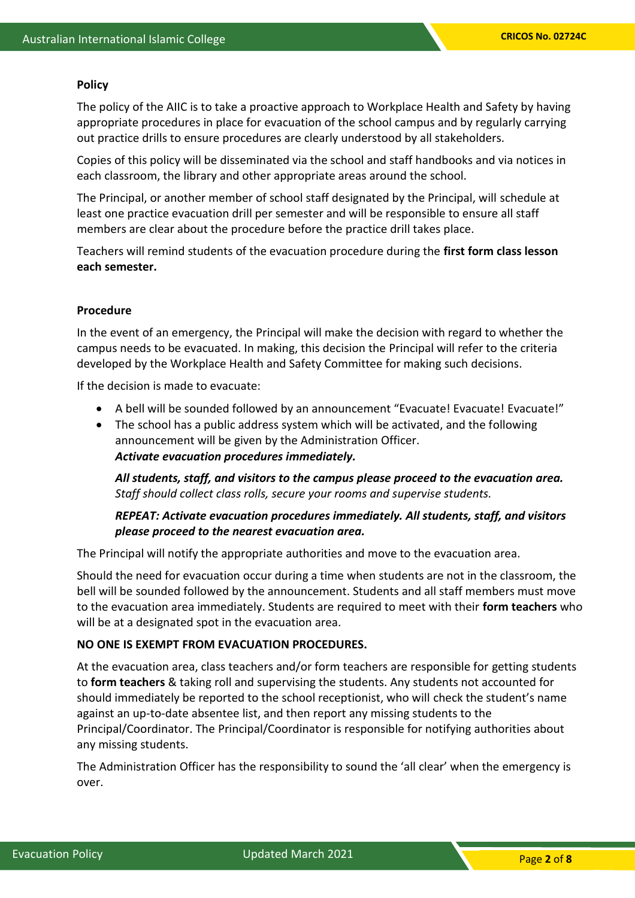#### **Policy**

The policy of the AIIC is to take a proactive approach to Workplace Health and Safety by having appropriate procedures in place for evacuation of the school campus and by regularly carrying out practice drills to ensure procedures are clearly understood by all stakeholders.

Copies of this policy will be disseminated via the school and staff handbooks and via notices in each classroom, the library and other appropriate areas around the school.

The Principal, or another member of school staff designated by the Principal, will schedule at least one practice evacuation drill per semester and will be responsible to ensure all staff members are clear about the procedure before the practice drill takes place.

Teachers will remind students of the evacuation procedure during the **first form class lesson each semester.** 

#### **Procedure**

In the event of an emergency, the Principal will make the decision with regard to whether the campus needs to be evacuated. In making, this decision the Principal will refer to the criteria developed by the Workplace Health and Safety Committee for making such decisions.

If the decision is made to evacuate:

- A bell will be sounded followed by an announcement "Evacuate! Evacuate! Evacuate!"
- The school has a public address system which will be activated, and the following announcement will be given by the Administration Officer. *Activate evacuation procedures immediately.*

*All students, staff, and visitors to the campus please proceed to the evacuation area. Staff should collect class rolls, secure your rooms and supervise students.*

## *REPEAT: Activate evacuation procedures immediately. All students, staff, and visitors please proceed to the nearest evacuation area.*

The Principal will notify the appropriate authorities and move to the evacuation area.

Should the need for evacuation occur during a time when students are not in the classroom, the bell will be sounded followed by the announcement. Students and all staff members must move to the evacuation area immediately. Students are required to meet with their **form teachers** who will be at a designated spot in the evacuation area.

#### **NO ONE IS EXEMPT FROM EVACUATION PROCEDURES.**

At the evacuation area, class teachers and/or form teachers are responsible for getting students to **form teachers** & taking roll and supervising the students. Any students not accounted for should immediately be reported to the school receptionist, who will check the student's name against an up-to-date absentee list, and then report any missing students to the Principal/Coordinator. The Principal/Coordinator is responsible for notifying authorities about any missing students.

The Administration Officer has the responsibility to sound the 'all clear' when the emergency is over.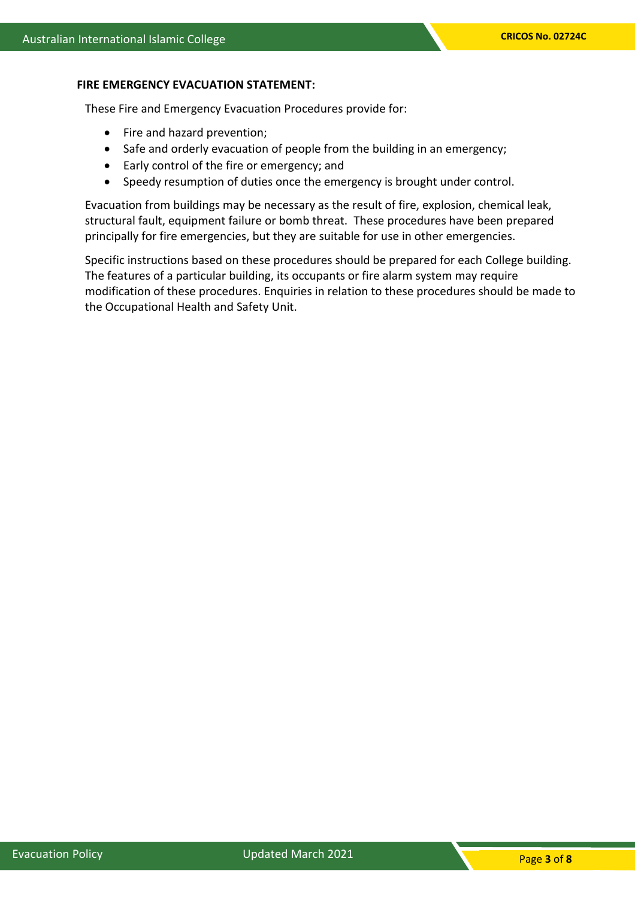#### **FIRE EMERGENCY EVACUATION STATEMENT:**

These Fire and Emergency Evacuation Procedures provide for:

- Fire and hazard prevention;
- Safe and orderly evacuation of people from the building in an emergency;
- Early control of the fire or emergency; and
- Speedy resumption of duties once the emergency is brought under control.

Evacuation from buildings may be necessary as the result of fire, explosion, chemical leak, structural fault, equipment failure or bomb threat. These procedures have been prepared principally for fire emergencies, but they are suitable for use in other emergencies.

Specific instructions based on these procedures should be prepared for each College building. The features of a particular building, its occupants or fire alarm system may require modification of these procedures. Enquiries in relation to these procedures should be made to the Occupational Health and Safety Unit.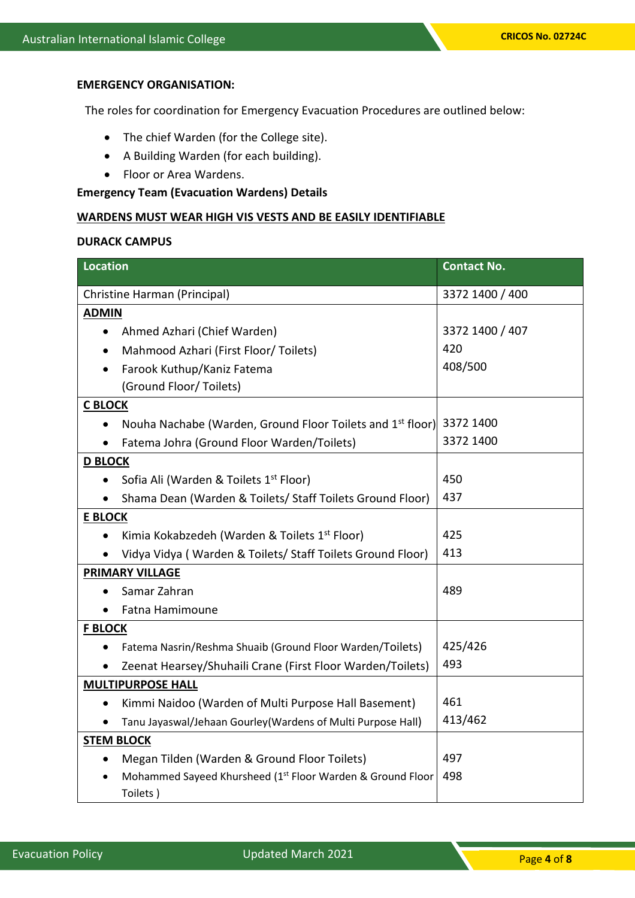#### **EMERGENCY ORGANISATION:**

The roles for coordination for Emergency Evacuation Procedures are outlined below:

- The chief Warden (for the College site).
- A Building Warden (for each building).
- Floor or Area Wardens.

## **Emergency Team (Evacuation Wardens) Details**

## **WARDENS MUST WEAR HIGH VIS VESTS AND BE EASILY IDENTIFIABLE**

# **DURACK CAMPUS**

| <b>Location</b>                                                         | <b>Contact No.</b> |
|-------------------------------------------------------------------------|--------------------|
| Christine Harman (Principal)                                            | 3372 1400 / 400    |
| <b>ADMIN</b>                                                            |                    |
| Ahmed Azhari (Chief Warden)<br>$\bullet$                                | 3372 1400 / 407    |
| Mahmood Azhari (First Floor/Toilets)                                    | 420                |
| Farook Kuthup/Kaniz Fatema                                              | 408/500            |
| (Ground Floor/ Toilets)                                                 |                    |
| <b>C BLOCK</b>                                                          |                    |
| Nouha Nachabe (Warden, Ground Floor Toilets and 1 <sup>st</sup> floor)  | 3372 1400          |
| Fatema Johra (Ground Floor Warden/Toilets)                              | 3372 1400          |
| <b>D BLOCK</b>                                                          |                    |
| Sofia Ali (Warden & Toilets 1 <sup>st</sup> Floor)<br>$\bullet$         | 450                |
| Shama Dean (Warden & Toilets/ Staff Toilets Ground Floor)               | 437                |
| <b>E BLOCK</b>                                                          |                    |
| Kimia Kokabzedeh (Warden & Toilets 1 <sup>st</sup> Floor)               | 425                |
| Vidya Vidya (Warden & Toilets/Staff Toilets Ground Floor)               | 413                |
| <b>PRIMARY VILLAGE</b>                                                  |                    |
| Samar Zahran                                                            | 489                |
| Fatna Hamimoune<br>٠                                                    |                    |
| <b>F BLOCK</b>                                                          |                    |
| Fatema Nasrin/Reshma Shuaib (Ground Floor Warden/Toilets)<br>$\bullet$  | 425/426            |
| Zeenat Hearsey/Shuhaili Crane (First Floor Warden/Toilets)<br>$\bullet$ | 493                |
| <b>MULTIPURPOSE HALL</b>                                                |                    |
| Kimmi Naidoo (Warden of Multi Purpose Hall Basement)<br>$\bullet$       | 461                |
| Tanu Jayaswal/Jehaan Gourley (Wardens of Multi Purpose Hall)            | 413/462            |
| <b>STEM BLOCK</b>                                                       |                    |
| Megan Tilden (Warden & Ground Floor Toilets)                            | 497                |
| Mohammed Sayeed Khursheed (1 <sup>st</sup> Floor Warden & Ground Floor  | 498                |
| Toilets)                                                                |                    |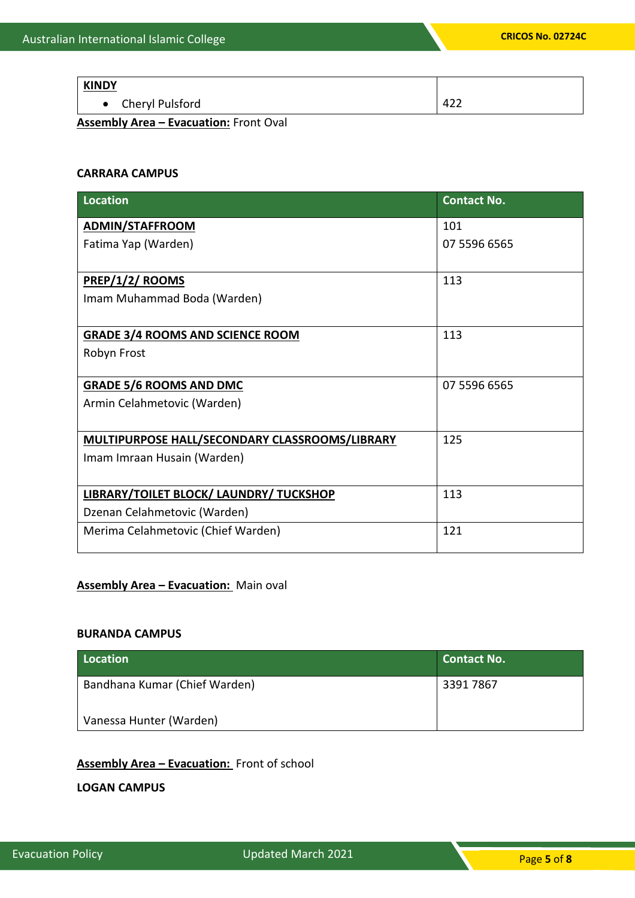| <b>KINDY</b>                 |     |
|------------------------------|-----|
| Cheryl Pulsford<br>$\bullet$ | 422 |

**Assembly Area – Evacuation:** Front Oval

## **CARRARA CAMPUS**

| <b>Location</b>                                | <b>Contact No.</b> |
|------------------------------------------------|--------------------|
| <b>ADMIN/STAFFROOM</b>                         | 101                |
| Fatima Yap (Warden)                            | 07 5596 6565       |
|                                                |                    |
| PREP/1/2/ ROOMS                                | 113                |
| Imam Muhammad Boda (Warden)                    |                    |
|                                                |                    |
| <b>GRADE 3/4 ROOMS AND SCIENCE ROOM</b>        | 113                |
| Robyn Frost                                    |                    |
|                                                |                    |
| <b>GRADE 5/6 ROOMS AND DMC</b>                 | 07 5596 6565       |
| Armin Celahmetovic (Warden)                    |                    |
|                                                |                    |
| MULTIPURPOSE HALL/SECONDARY CLASSROOMS/LIBRARY | 125                |
| Imam Imraan Husain (Warden)                    |                    |
|                                                |                    |
| LIBRARY/TOILET BLOCK/ LAUNDRY/ TUCKSHOP        | 113                |
| Dzenan Celahmetovic (Warden)                   |                    |
| Merima Celahmetovic (Chief Warden)             | 121                |
|                                                |                    |

## **Assembly Area – Evacuation:** Main oval

#### **BURANDA CAMPUS**

| Location                      | <b>Contact No.</b> |
|-------------------------------|--------------------|
| Bandhana Kumar (Chief Warden) | 3391 7867          |
| Vanessa Hunter (Warden)       |                    |

# **Assembly Area – Evacuation:** Front of school

**LOGAN CAMPUS**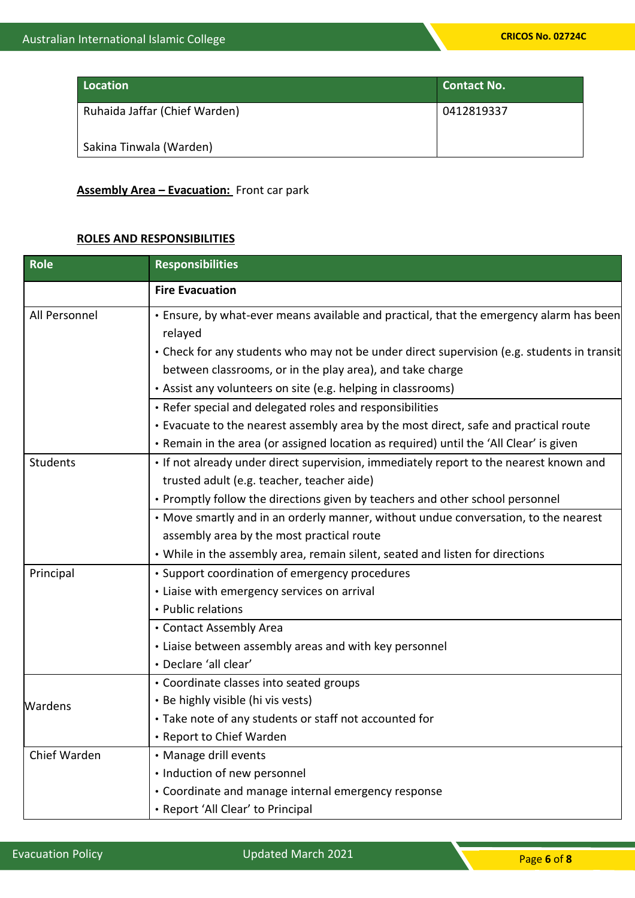| Location                      | <b>Contact No.</b> |
|-------------------------------|--------------------|
| Ruhaida Jaffar (Chief Warden) | 0412819337         |
| Sakina Tinwala (Warden)       |                    |

# **Assembly Area – Evacuation:** Front car park

# **ROLES AND RESPONSIBILITIES**

| <b>Role</b>     | <b>Responsibilities</b>                                                                    |  |
|-----------------|--------------------------------------------------------------------------------------------|--|
|                 | <b>Fire Evacuation</b>                                                                     |  |
| All Personnel   | . Ensure, by what-ever means available and practical, that the emergency alarm has been    |  |
|                 | relayed                                                                                    |  |
|                 | • Check for any students who may not be under direct supervision (e.g. students in transit |  |
|                 | between classrooms, or in the play area), and take charge                                  |  |
|                 | • Assist any volunteers on site (e.g. helping in classrooms)                               |  |
|                 | • Refer special and delegated roles and responsibilities                                   |  |
|                 | . Evacuate to the nearest assembly area by the most direct, safe and practical route       |  |
|                 | • Remain in the area (or assigned location as required) until the 'All Clear' is given     |  |
| <b>Students</b> | • If not already under direct supervision, immediately report to the nearest known and     |  |
|                 | trusted adult (e.g. teacher, teacher aide)                                                 |  |
|                 | • Promptly follow the directions given by teachers and other school personnel              |  |
|                 | • Move smartly and in an orderly manner, without undue conversation, to the nearest        |  |
|                 | assembly area by the most practical route                                                  |  |
|                 | • While in the assembly area, remain silent, seated and listen for directions              |  |
| Principal       | • Support coordination of emergency procedures                                             |  |
|                 | • Liaise with emergency services on arrival                                                |  |
|                 | • Public relations                                                                         |  |
|                 | • Contact Assembly Area                                                                    |  |
|                 | • Liaise between assembly areas and with key personnel                                     |  |
|                 | · Declare 'all clear'                                                                      |  |
|                 | • Coordinate classes into seated groups                                                    |  |
| Wardens         | • Be highly visible (hi vis vests)                                                         |  |
|                 | • Take note of any students or staff not accounted for                                     |  |
|                 | • Report to Chief Warden                                                                   |  |
| Chief Warden    | • Manage drill events                                                                      |  |
|                 | • Induction of new personnel                                                               |  |
|                 | • Coordinate and manage internal emergency response                                        |  |
|                 | • Report 'All Clear' to Principal                                                          |  |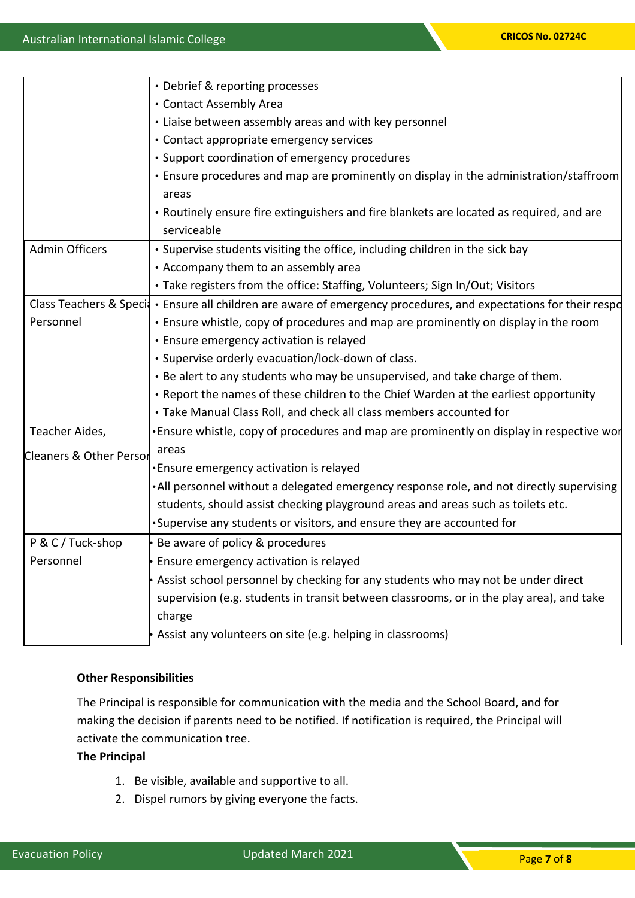| • Debrief & reporting processes                                                                                   |  |
|-------------------------------------------------------------------------------------------------------------------|--|
| • Contact Assembly Area                                                                                           |  |
| • Liaise between assembly areas and with key personnel                                                            |  |
| • Contact appropriate emergency services                                                                          |  |
| • Support coordination of emergency procedures                                                                    |  |
| • Ensure procedures and map are prominently on display in the administration/staffroom                            |  |
| areas                                                                                                             |  |
| • Routinely ensure fire extinguishers and fire blankets are located as required, and are                          |  |
| serviceable                                                                                                       |  |
| <b>Admin Officers</b><br>• Supervise students visiting the office, including children in the sick bay             |  |
| • Accompany them to an assembly area                                                                              |  |
| • Take registers from the office: Staffing, Volunteers; Sign In/Out; Visitors                                     |  |
| Class Teachers & Specia • Ensure all children are aware of emergency procedures, and expectations for their respo |  |
| Personnel<br>. Ensure whistle, copy of procedures and map are prominently on display in the room                  |  |
| • Ensure emergency activation is relayed                                                                          |  |
| · Supervise orderly evacuation/lock-down of class.                                                                |  |
| . Be alert to any students who may be unsupervised, and take charge of them.                                      |  |
| • Report the names of these children to the Chief Warden at the earliest opportunity                              |  |
| • Take Manual Class Roll, and check all class members accounted for                                               |  |
| Teacher Aides,<br>• Ensure whistle, copy of procedures and map are prominently on display in respective wor       |  |
| areas<br><b>Cleaners &amp; Other Persor</b>                                                                       |  |
| • Ensure emergency activation is relayed                                                                          |  |
| •All personnel without a delegated emergency response role, and not directly supervising                          |  |
| students, should assist checking playground areas and areas such as toilets etc.                                  |  |
| •Supervise any students or visitors, and ensure they are accounted for                                            |  |
| Be aware of policy & procedures<br>P & C / Tuck-shop                                                              |  |
| Personnel<br>Ensure emergency activation is relayed                                                               |  |
| Assist school personnel by checking for any students who may not be under direct                                  |  |
| supervision (e.g. students in transit between classrooms, or in the play area), and take                          |  |
| charge                                                                                                            |  |
|                                                                                                                   |  |

## **Other Responsibilities**

The Principal is responsible for communication with the media and the School Board, and for making the decision if parents need to be notified. If notification is required, the Principal will activate the communication tree.

# **The Principal**

- 1. Be visible, available and supportive to all.
- 2. Dispel rumors by giving everyone the facts.